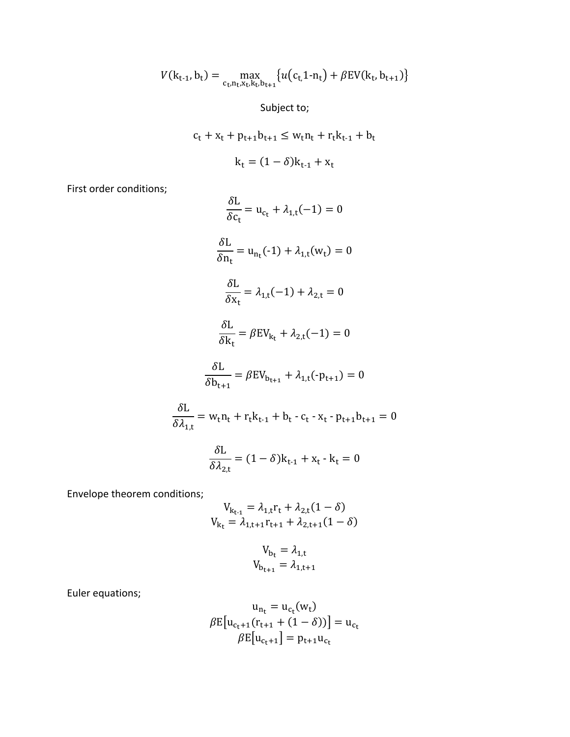$$
V(k_{t-1}, b_t) = \max_{c_t, n_t, x_t, k_t, b_{t+1}} \{ u(c_{t,1} - n_t) + \beta E V(k_t, b_{t+1}) \}
$$

Subject to;

$$
c_{t} + x_{t} + p_{t+1}b_{t+1} \leq w_{t}n_{t} + r_{t}k_{t-1} + b_{t}
$$

$$
k_{t} = (1 - \delta)k_{t-1} + x_{t}
$$

First order conditions;

$$
\frac{\delta L}{\delta c_t} = u_{c_t} + \lambda_{1,t}(-1) = 0
$$
  

$$
\frac{\delta L}{\delta n_t} = u_{n_t}(-1) + \lambda_{1,t}(w_t) = 0
$$
  

$$
\frac{\delta L}{\delta x_t} = \lambda_{1,t}(-1) + \lambda_{2,t} = 0
$$
  

$$
\frac{\delta L}{\delta k_t} = \beta E V_{k_t} + \lambda_{2,t}(-1) = 0
$$
  

$$
\frac{\delta L}{\delta b_{t+1}} = \beta E V_{b_{t+1}} + \lambda_{1,t}(-p_{t+1}) = 0
$$
  

$$
\frac{\delta L}{\delta \lambda_{1,t}} = w_t n_t + r_t k_{t-1} + b_t - c_t - x_t - p_{t+1} b_{t+1} = 0
$$
  

$$
\frac{\delta L}{\delta \lambda_{2,t}} = (1 - \delta) k_{t-1} + x_t - k_t = 0
$$

Envelope theorem conditions;

$$
V_{k_{t-1}} = \lambda_{1,t} r_t + \lambda_{2,t} (1 - \delta)
$$
  

$$
V_{k_t} = \lambda_{1,t+1} r_{t+1} + \lambda_{2,t+1} (1 - \delta)
$$

$$
V_{b_t} = \lambda_{1,t}
$$

$$
V_{b_{t+1}} = \lambda_{1,t+1}
$$

Euler equations;

$$
u_{n_t} = u_{c_t}(w_t)
$$
  

$$
\beta E[u_{c_t+1}(r_{t+1} + (1 - \delta))] = u_{c_t}
$$
  

$$
\beta E[u_{c_t+1}] = p_{t+1}u_{c_t}
$$